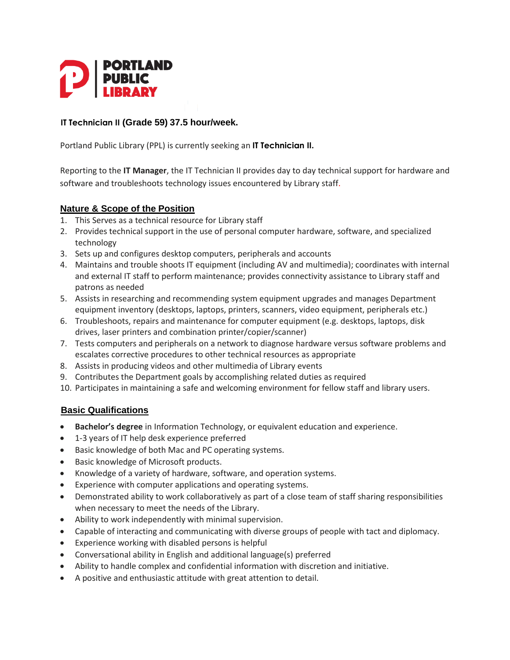

# **IT Technician II (Grade 59) 37.5 hour/week.**

Portland Public Library (PPL) is currently seeking an **IT Technician II.**

Reporting to the **IT Manager**, the IT Technician II provides day to day technical support for hardware and software and troubleshoots technology issues encountered by Library staff.

### **Nature & Scope of the Position**

- 1. This Serves as a technical resource for Library staff
- 2. Provides technical support in the use of personal computer hardware, software, and specialized technology
- 3. Sets up and configures desktop computers, peripherals and accounts
- 4. Maintains and trouble shoots IT equipment (including AV and multimedia); coordinates with internal and external IT staff to perform maintenance; provides connectivity assistance to Library staff and patrons as needed
- 5. Assists in researching and recommending system equipment upgrades and manages Department equipment inventory (desktops, laptops, printers, scanners, video equipment, peripherals etc.)
- 6. Troubleshoots, repairs and maintenance for computer equipment (e.g. desktops, laptops, disk drives, laser printers and combination printer/copier/scanner)
- 7. Tests computers and peripherals on a network to diagnose hardware versus software problems and escalates corrective procedures to other technical resources as appropriate
- 8. Assists in producing videos and other multimedia of Library events
- 9. Contributes the Department goals by accomplishing related duties as required
- 10. Participates in maintaining a safe and welcoming environment for fellow staff and library users.

### **Basic Qualifications**

- **Bachelor's degree** in Information Technology, or equivalent education and experience.
- 1-3 years of IT help desk experience preferred
- Basic knowledge of both Mac and PC operating systems.
- Basic knowledge of Microsoft products.
- Knowledge of a variety of hardware, software, and operation systems.
- Experience with computer applications and operating systems.
- Demonstrated ability to work collaboratively as part of a close team of staff sharing responsibilities when necessary to meet the needs of the Library.
- Ability to work independently with minimal supervision.
- Capable of interacting and communicating with diverse groups of people with tact and diplomacy.
- Experience working with disabled persons is helpful
- Conversational ability in English and additional language(s) preferred
- Ability to handle complex and confidential information with discretion and initiative.
- A positive and enthusiastic attitude with great attention to detail.